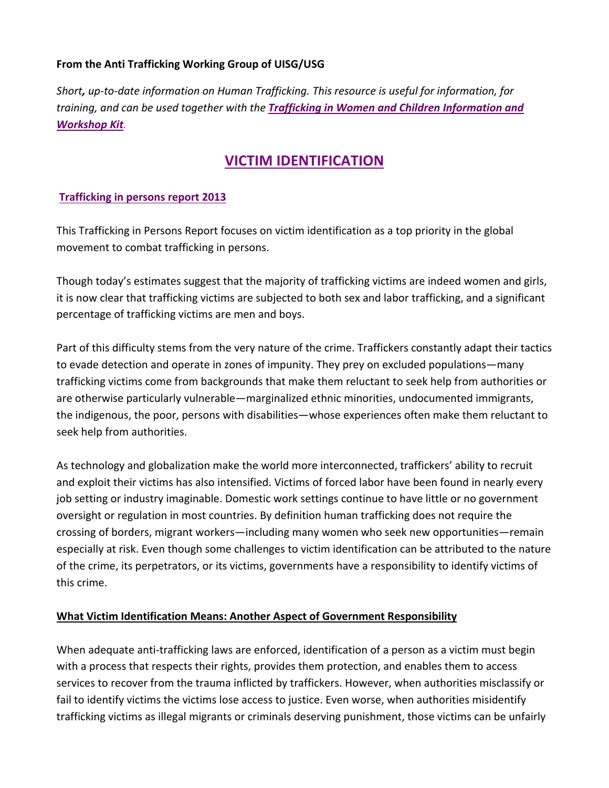# From the Anti Trafficking Working Group of UISG/USG

*Short, up-to-date information on Human Trafficking. This resource is useful for information, for* training, and can be used together with the **Trafficking in Women and Children Information and** *Workshop Kit.*

# **VICTIM IDENTIFICATION**

#### **Trafficking in persons report 2013**

This Trafficking in Persons Report focuses on victim identification as a top priority in the global movement to combat trafficking in persons.

Though today's estimates suggest that the majority of trafficking victims are indeed women and girls, it is now clear that trafficking victims are subjected to both sex and labor trafficking, and a significant percentage of trafficking victims are men and boys.

Part of this difficulty stems from the very nature of the crime. Traffickers constantly adapt their tactics to evade detection and operate in zones of impunity. They prey on excluded populations—many trafficking victims come from backgrounds that make them reluctant to seek help from authorities or are otherwise particularly vulnerable—marginalized ethnic minorities, undocumented immigrants, the indigenous, the poor, persons with disabilities—whose experiences often make them reluctant to seek help from authorities.

As technology and globalization make the world more interconnected, traffickers' ability to recruit and exploit their victims has also intensified. Victims of forced labor have been found in nearly every job setting or industry imaginable. Domestic work settings continue to have little or no government oversight or regulation in most countries. By definition human trafficking does not require the crossing of borders, migrant workers—including many women who seek new opportunities—remain especially at risk. Even though some challenges to victim identification can be attributed to the nature of the crime, its perpetrators, or its victims, governments have a responsibility to identify victims of this crime.

#### **What Victim Identification Means: Another Aspect of Government Responsibility**

When adequate anti-trafficking laws are enforced, identification of a person as a victim must begin with a process that respects their rights, provides them protection, and enables them to access services to recover from the trauma inflicted by traffickers. However, when authorities misclassify or fail to identify victims the victims lose access to justice. Even worse, when authorities misidentify trafficking victims as illegal migrants or criminals deserving punishment, those victims can be unfairly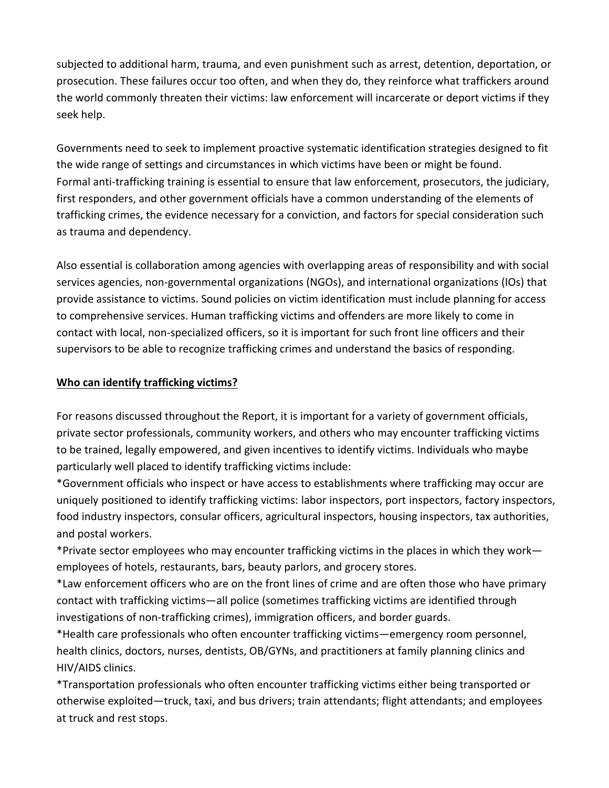subjected to additional harm, trauma, and even punishment such as arrest, detention, deportation, or prosecution. These failures occur too often, and when they do, they reinforce what traffickers around the world commonly threaten their victims: law enforcement will incarcerate or deport victims if they seek help.

Governments need to seek to implement proactive systematic identification strategies designed to fit the wide range of settings and circumstances in which victims have been or might be found. Formal anti-trafficking training is essential to ensure that law enforcement, prosecutors, the judiciary, first responders, and other government officials have a common understanding of the elements of trafficking crimes, the evidence necessary for a conviction, and factors for special consideration such as trauma and dependency.

Also essential is collaboration among agencies with overlapping areas of responsibility and with social services agencies, non-governmental organizations (NGOs), and international organizations (IOs) that provide assistance to victims. Sound policies on victim identification must include planning for access to comprehensive services. Human trafficking victims and offenders are more likely to come in contact with local, non-specialized officers, so it is important for such front line officers and their supervisors to be able to recognize trafficking crimes and understand the basics of responding.

# **Who can identify trafficking victims?**

For reasons discussed throughout the Report, it is important for a variety of government officials, private sector professionals, community workers, and others who may encounter trafficking victims to be trained, legally empowered, and given incentives to identify victims. Individuals who maybe particularly well placed to identify trafficking victims include:

\*Government officials who inspect or have access to establishments where trafficking may occur are uniquely positioned to identify trafficking victims: labor inspectors, port inspectors, factory inspectors, food industry inspectors, consular officers, agricultural inspectors, housing inspectors, tax authorities, and postal workers.

\*Private sector employees who may encounter trafficking victims in the places in which they work employees of hotels, restaurants, bars, beauty parlors, and grocery stores.

\*Law enforcement officers who are on the front lines of crime and are often those who have primary contact with trafficking victims—all police (sometimes trafficking victims are identified through investigations of non-trafficking crimes), immigration officers, and border guards.

\*Health care professionals who often encounter trafficking victims—emergency room personnel, health clinics, doctors, nurses, dentists, OB/GYNs, and practitioners at family planning clinics and HIV/AIDS clinics.

\*Transportation professionals who often encounter trafficking victims either being transported or otherwise exploited—truck, taxi, and bus drivers; train attendants; flight attendants; and employees at truck and rest stops.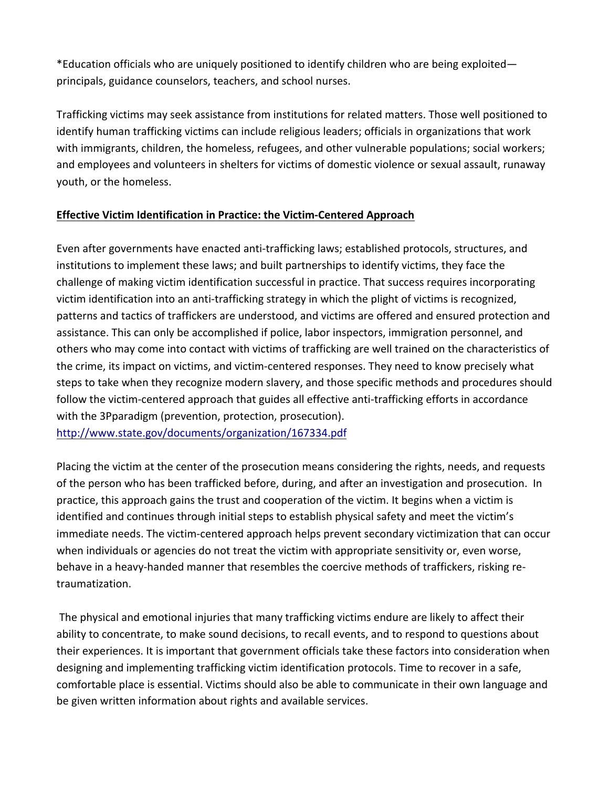\*Education officials who are uniquely positioned to identify children who are being exploited principals, guidance counselors, teachers, and school nurses.

Trafficking victims may seek assistance from institutions for related matters. Those well positioned to identify human trafficking victims can include religious leaders; officials in organizations that work with immigrants, children, the homeless, refugees, and other vulnerable populations; social workers; and employees and volunteers in shelters for victims of domestic violence or sexual assault, runaway youth, or the homeless.

# **Effective Victim Identification in Practice: the Victim-Centered Approach**

Even after governments have enacted anti-trafficking laws; established protocols, structures, and institutions to implement these laws; and built partnerships to identify victims, they face the challenge of making victim identification successful in practice. That success requires incorporating victim identification into an anti-trafficking strategy in which the plight of victims is recognized, patterns and tactics of traffickers are understood, and victims are offered and ensured protection and assistance. This can only be accomplished if police, labor inspectors, immigration personnel, and others who may come into contact with victims of trafficking are well trained on the characteristics of the crime, its impact on victims, and victim-centered responses. They need to know precisely what steps to take when they recognize modern slavery, and those specific methods and procedures should follow the victim-centered approach that guides all effective anti-trafficking efforts in accordance with the 3Pparadigm (prevention, protection, prosecution). http://www.state.gov/documents/organization/167334.pdf

Placing the victim at the center of the prosecution means considering the rights, needs, and requests of the person who has been trafficked before, during, and after an investigation and prosecution. In practice, this approach gains the trust and cooperation of the victim. It begins when a victim is identified and continues through initial steps to establish physical safety and meet the victim's immediate needs. The victim-centered approach helps prevent secondary victimization that can occur when individuals or agencies do not treat the victim with appropriate sensitivity or, even worse, behave in a heavy-handed manner that resembles the coercive methods of traffickers, risking retraumatization.

The physical and emotional injuries that many trafficking victims endure are likely to affect their ability to concentrate, to make sound decisions, to recall events, and to respond to questions about their experiences. It is important that government officials take these factors into consideration when designing and implementing trafficking victim identification protocols. Time to recover in a safe, comfortable place is essential. Victims should also be able to communicate in their own language and be given written information about rights and available services.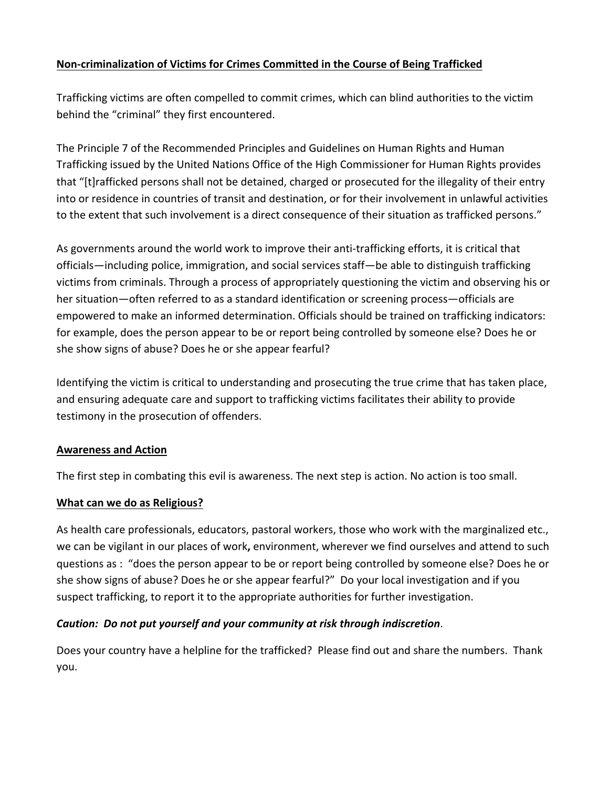# **Non-criminalization of Victims for Crimes Committed in the Course of Being Trafficked**

Trafficking victims are often compelled to commit crimes, which can blind authorities to the victim behind the "criminal" they first encountered.

The Principle 7 of the Recommended Principles and Guidelines on Human Rights and Human Trafficking issued by the United Nations Office of the High Commissioner for Human Rights provides that "[t]rafficked persons shall not be detained, charged or prosecuted for the illegality of their entry into or residence in countries of transit and destination, or for their involvement in unlawful activities to the extent that such involvement is a direct consequence of their situation as trafficked persons."

As governments around the world work to improve their anti-trafficking efforts, it is critical that officials—including police, immigration, and social services staff—be able to distinguish trafficking victims from criminals. Through a process of appropriately questioning the victim and observing his or her situation—often referred to as a standard identification or screening process—officials are empowered to make an informed determination. Officials should be trained on trafficking indicators: for example, does the person appear to be or report being controlled by someone else? Does he or she show signs of abuse? Does he or she appear fearful?

Identifying the victim is critical to understanding and prosecuting the true crime that has taken place, and ensuring adequate care and support to trafficking victims facilitates their ability to provide testimony in the prosecution of offenders.

# **Awareness and Action**

The first step in combating this evil is awareness. The next step is action. No action is too small.

# **What can we do as Religious?**

As health care professionals, educators, pastoral workers, those who work with the marginalized etc., we can be vigilant in our places of work, environment, wherever we find ourselves and attend to such questions as : "does the person appear to be or report being controlled by someone else? Does he or she show signs of abuse? Does he or she appear fearful?" Do your local investigation and if you suspect trafficking, to report it to the appropriate authorities for further investigation.

# Caution: Do not put yourself and your community at risk through indiscretion.

Does your country have a helpline for the trafficked? Please find out and share the numbers. Thank you.